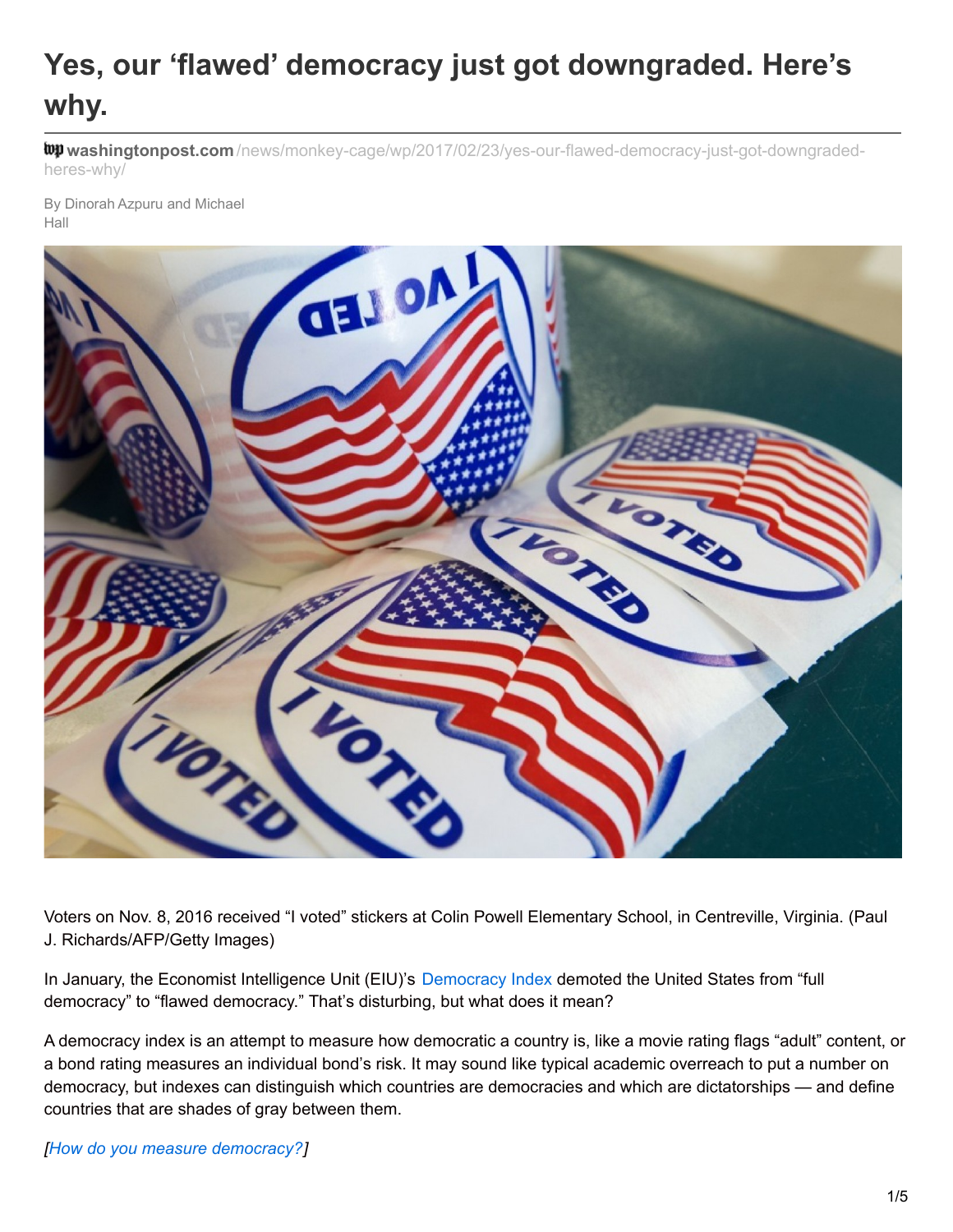# **Yes, our 'flawed' democracy just got downgraded. Here's why.**

**washingtonpost.com** [/news/monkey-cage/wp/2017/02/23/yes-our-flawed-democracy-just-got-downgraded](https://www.washingtonpost.com/news/monkey-cage/wp/2017/02/23/yes-our-flawed-democracy-just-got-downgraded-heres-why/)heres-why/

By Dinorah Azpuru and Michael Hall



Voters on Nov. 8, 2016 received "I voted" stickers at Colin Powell Elementary School, in Centreville, Virginia. (Paul J. Richards/AFP/Getty Images)

In January, the Economist Intelligence Unit (EIU)'s [Democracy](http://www.economist.com/blogs/graphicdetail/2017/01/daily-chart-20) Index demoted the United States from "full democracy" to "flawed democracy." That's disturbing, but what does it mean?

A democracy index is an attempt to measure how democratic a country is, like a movie rating flags "adult" content, or a bond rating measures an individual bond's risk. It may sound like typical academic overreach to put a number on democracy, but indexes can distinguish which countries are democracies and which are dictatorships — and define countries that are shades of gray between them.

*[How do you measure [democracy?](https://www.washingtonpost.com/news/monkey-cage/wp/2015/06/23/how-do-you-measure-democracy/?utm_term=.40fd285e523f)]*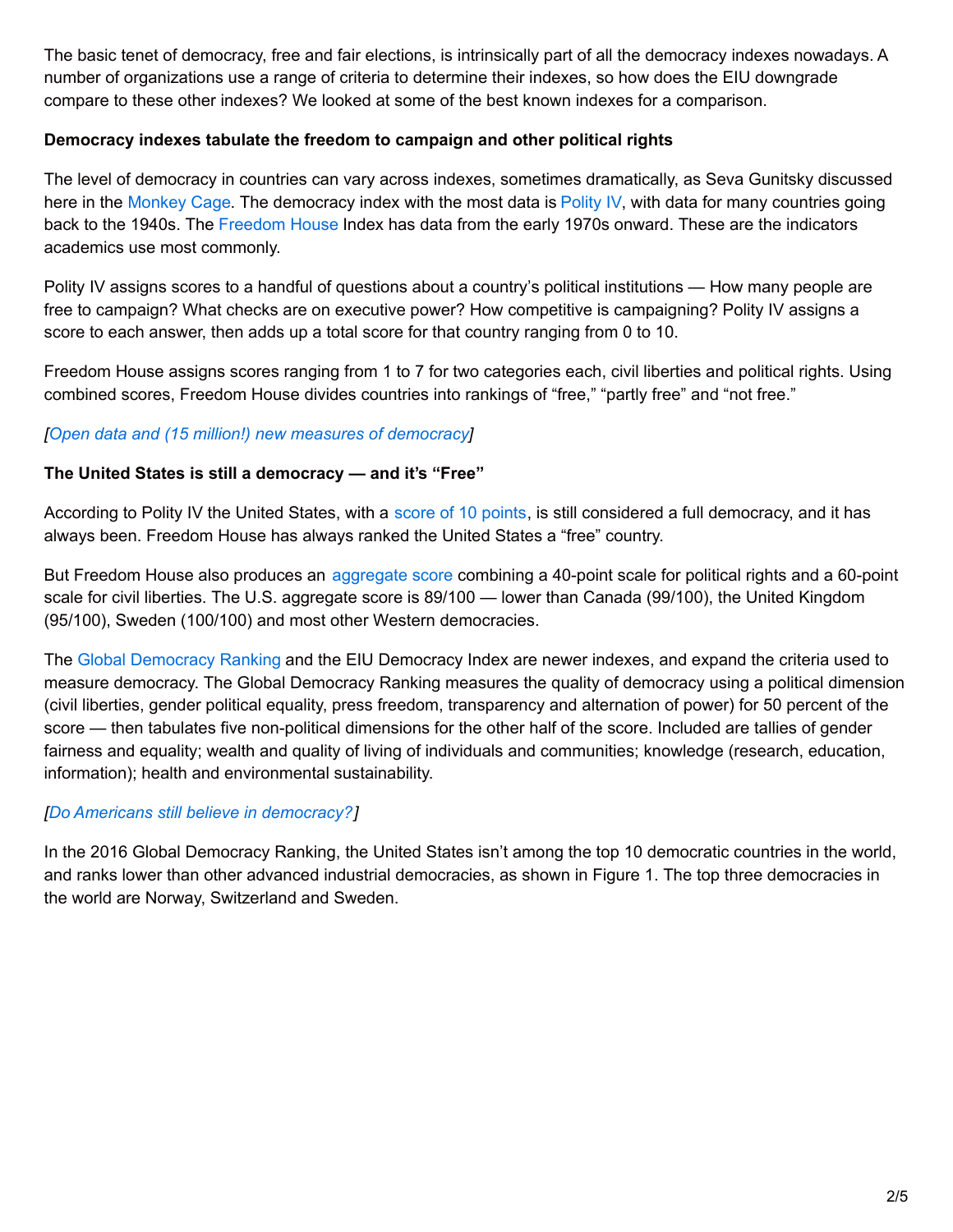The basic tenet of democracy, free and fair elections, is intrinsically part of all the democracy indexes nowadays. A number of organizations use a range of criteria to determine their indexes, so how does the EIU downgrade compare to these other indexes? We looked at some of the best known indexes for a comparison.

# **Democracy indexes tabulate the freedom to campaign and other political rights**

The level of democracy in countries can vary across indexes, sometimes dramatically, as Seva Gunitsky discussed here in the [Monkey](https://www.washingtonpost.com/news/monkey-cage/wp/2015/06/23/how-do-you-measure-democracy/?utm_term=.64b9b4065789) Cage. The democracy index with the most data is [Polity](http://www.systemicpeace.org/polity/polity4.htm) IV, with data for many countries going back to the 1940s. The [Freedom](https://freedomhouse.org/report/freedom-world/freedom-world-2017) House Index has data from the early 1970s onward. These are the indicators academics use most commonly.

Polity IV assigns scores to a handful of questions about a country's political institutions — How many people are free to campaign? What checks are on executive power? How competitive is campaigning? Polity IV assigns a score to each answer, then adds up a total score for that country ranging from 0 to 10.

Freedom House assigns scores ranging from 1 to 7 for two categories each, civil liberties and political rights. Using combined scores, Freedom House divides countries into rankings of "free," "partly free" and "not free."

# *[Open data and (15 million!) new measures of [democracy](https://www.washingtonpost.com/news/monkey-cage/wp/2016/02/12/open-data-and-15-million-new-measures-of-democracy/?utm_term=.02e721ce49f6)]*

#### **The United States is still a democracy — and it's "Free"**

According to Polity IV the United States, with a score of 10 [points](http://www.systemicpeace.org/polity/usa2.htm), is still considered a full democracy, and it has always been. Freedom House has always ranked the United States a "free" country.

But Freedom House also produces an [aggregate](https://freedomhouse.org/report/freedom-world-aggregate-and-subcategory-scores) score combining a 40-point scale for political rights and a 60-point scale for civil liberties. The U.S. aggregate score is 89/100 — lower than Canada (99/100), the United Kingdom (95/100), Sweden (100/100) and most other Western democracies.

The Global [Democracy](http://democracyranking.org/wordpress/rank/democracy-ranking-2015/) Ranking and the EIU Democracy Index are newer indexes, and expand the criteria used to measure democracy. The Global Democracy Ranking measures the quality of democracy using a political dimension (civil liberties, gender political equality, press freedom, transparency and alternation of power) for 50 percent of the score — then tabulates five non-political dimensions for the other half of the score. Included are tallies of gender fairness and equality; wealth and quality of living of individuals and communities; knowledge (research, education, information); health and environmental sustainability.

# *[Do Americans still believe in [democracy?](https://www.washingtonpost.com/news/monkey-cage/wp/2016/04/09/do-americans-still-believe-in-democracy/?utm_term=.8f22f72c9fff)]*

In the 2016 Global Democracy Ranking, the United States isn't among the top 10 democratic countries in the world, and ranks lower than other advanced industrial democracies, as shown in Figure 1. The top three democracies in the world are Norway, Switzerland and Sweden.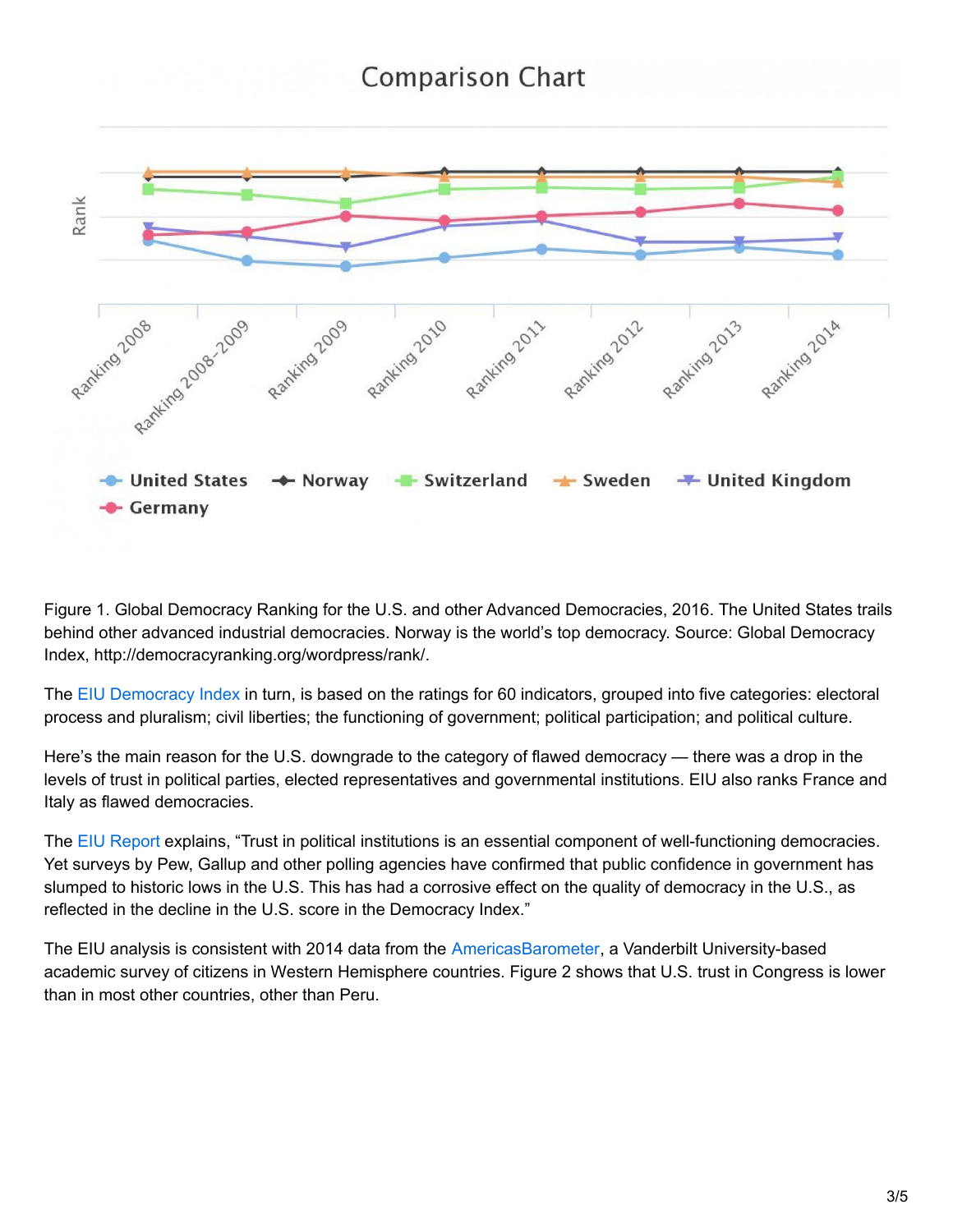# **Comparison Chart**



Figure 1. Global Democracy Ranking for the U.S. and other Advanced Democracies, 2016. The United States trails behind other advanced industrial democracies. Norway is the world's top democracy. Source: Global Democracy Index, http://democracyranking.org/wordpress/rank/.

The EIU [Democracy](http://www.economist.com/blogs/graphicdetail/2017/01/daily-chart-20) Index in turn, is based on the ratings for 60 indicators, grouped into five categories: electoral process and pluralism; civil liberties; the functioning of government; political participation; and political culture.

Here's the main reason for the U.S. downgrade to the category of flawed democracy — there was a drop in the levels of trust in political parties, elected representatives and governmental institutions. EIU also ranks France and Italy as flawed democracies.

The EIU [Report](http://www.eiu.com/Handlers/WhitepaperHandler.ashx?fi=Democracy-Index-2016.pdf&mode=wp&campaignid=DemocracyIndex2016) explains, "Trust in political institutions is an essential component of well-functioning democracies. Yet surveys by Pew, Gallup and other polling agencies have confirmed that public confidence in government has slumped to historic lows in the U.S. This has had a corrosive effect on the quality of democracy in the U.S., as reflected in the decline in the U.S. score in the Democracy Index."

The EIU analysis is consistent with 2014 data from the [AmericasBarometer](http://www.vanderbilt.edu/lapop/about.php), a Vanderbilt University-based academic survey of citizens in Western Hemisphere countries. Figure 2 shows that U.S. trust in Congress is lower than in most other countries, other than Peru.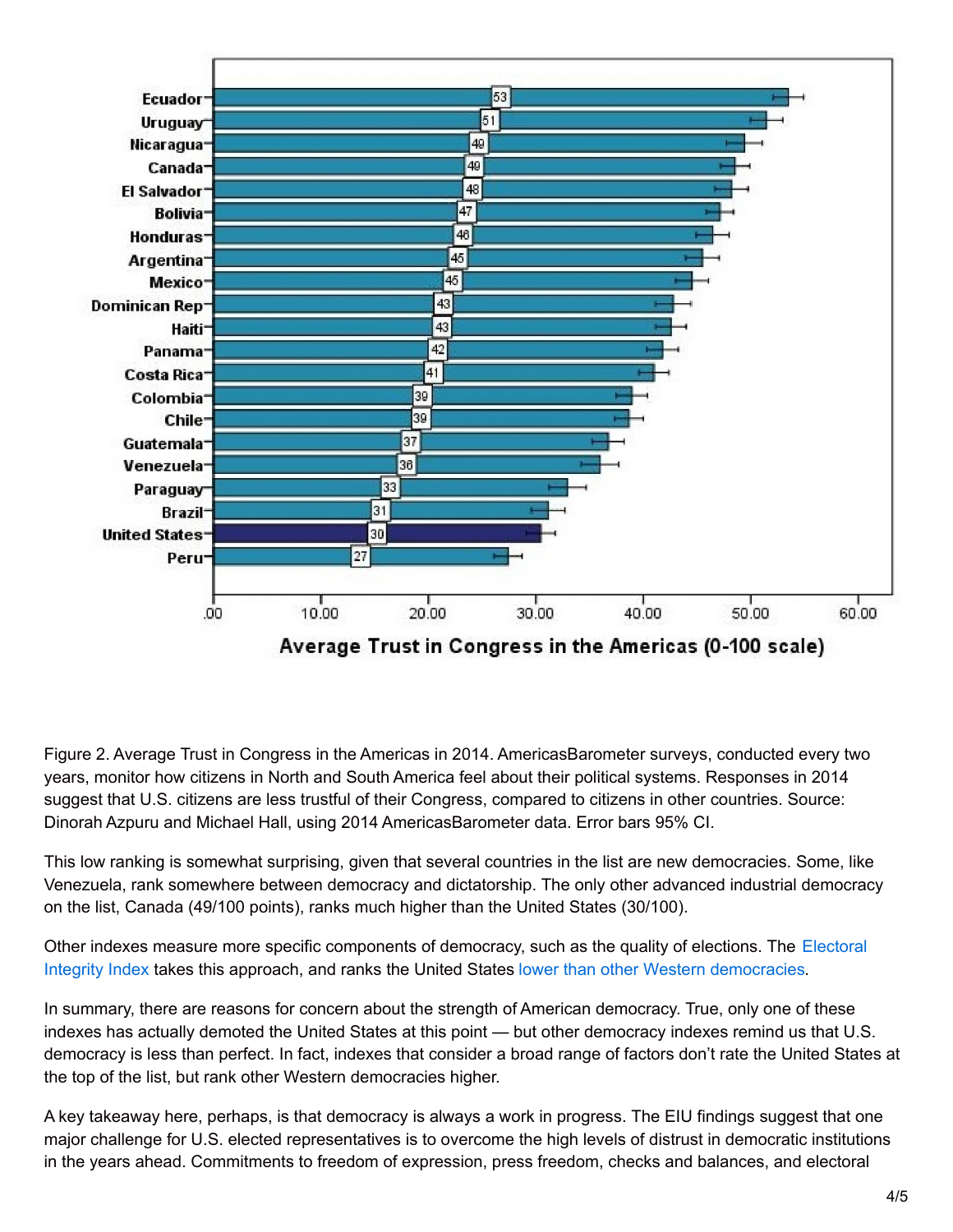

Figure 2. Average Trust in Congress in the Americas in 2014. AmericasBarometer surveys, conducted every two years, monitor how citizens in North and South America feel about their political systems. Responses in 2014 suggest that U.S. citizens are less trustful of their Congress, compared to citizens in other countries. Source: Dinorah Azpuru and Michael Hall, using 2014 AmericasBarometer data. Error bars 95% CI.

This low ranking is somewhat surprising, given that several countries in the list are new democracies. Some, like Venezuela, rank somewhere between democracy and dictatorship. The only other advanced industrial democracy on the list, Canada (49/100 points), ranks much higher than the United States (30/100).

Other indexes measure more specific components of democracy, such as the quality of elections. The Electoral Integrity Index takes this approach, and ranks the United States lower than other Western [democracies.](https://www.electoralintegrityproject.com/)

In summary, there are reasons for concern about the strength of American democracy. True, only one of these indexes has actually demoted the United States at this point — but other democracy indexes remind us that U.S. democracy is less than perfect. In fact, indexes that consider a broad range of factors don't rate the United States at the top of the list, but rank other Western democracies higher.

A key takeaway here, perhaps, is that democracy is always a work in progress. The EIU findings suggest that one major challenge for U.S. elected representatives is to overcome the high levels of distrust in democratic institutions in the years ahead. Commitments to freedom of expression, press freedom, checks and balances, and electoral